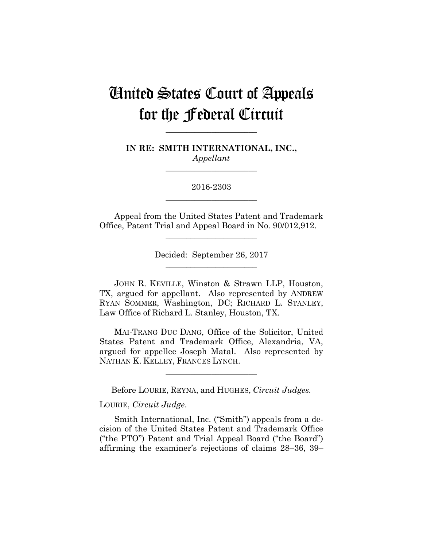# United States Court of Appeals for the Federal Circuit

**IN RE: SMITH INTERNATIONAL, INC.,** *Appellant*

**\_\_\_\_\_\_\_\_\_\_\_\_\_\_\_\_\_\_\_\_\_\_** 

**\_\_\_\_\_\_\_\_\_\_\_\_\_\_\_\_\_\_\_\_\_\_** 

2016-2303 **\_\_\_\_\_\_\_\_\_\_\_\_\_\_\_\_\_\_\_\_\_\_** 

Appeal from the United States Patent and Trademark Office, Patent Trial and Appeal Board in No. 90/012,912.

**\_\_\_\_\_\_\_\_\_\_\_\_\_\_\_\_\_\_\_\_\_\_** 

Decided: September 26, 2017 **\_\_\_\_\_\_\_\_\_\_\_\_\_\_\_\_\_\_\_\_\_\_** 

 JOHN R. KEVILLE, Winston & Strawn LLP, Houston, TX, argued for appellant. Also represented by ANDREW RYAN SOMMER, Washington, DC; RICHARD L. STANLEY, Law Office of Richard L. Stanley, Houston, TX.

 MAI-TRANG DUC DANG, Office of the Solicitor, United States Patent and Trademark Office, Alexandria, VA, argued for appellee Joseph Matal. Also represented by NATHAN K. KELLEY, FRANCES LYNCH.

**\_\_\_\_\_\_\_\_\_\_\_\_\_\_\_\_\_\_\_\_\_\_** 

Before LOURIE, REYNA, and HUGHES, *Circuit Judges.*

LOURIE, *Circuit Judge*.

Smith International, Inc. ("Smith") appeals from a decision of the United States Patent and Trademark Office ("the PTO") Patent and Trial Appeal Board ("the Board") affirming the examiner's rejections of claims 28–36, 39–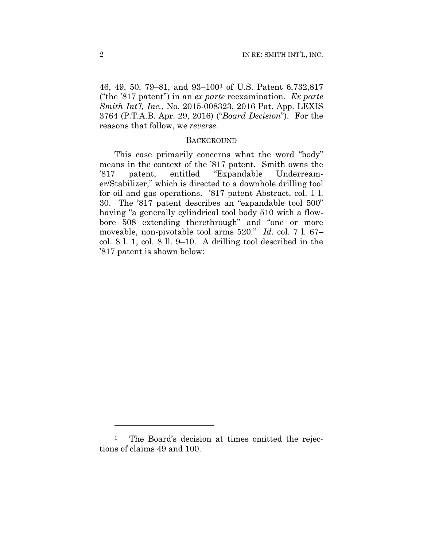46, 49, 50, 79–81, and 93–1001 of U.S. Patent 6,732,817 ("the '817 patent") in an *ex parte* reexamination. *Ex parte Smith Int'l, Inc.*, No. 2015-008323, 2016 Pat. App. LEXIS 3764 (P.T.A.B. Apr. 29, 2016) ("*Board Decision*"). For the reasons that follow, we *reverse*.

#### **BACKGROUND**

This case primarily concerns what the word "body" means in the context of the '817 patent. Smith owns the '817 patent, entitled "Expandable Underreamer/Stabilizer," which is directed to a downhole drilling tool for oil and gas operations. '817 patent Abstract, col. 1 l. 30. The '817 patent describes an "expandable tool 500" having "a generally cylindrical tool body 510 with a flowbore 508 extending therethrough" and "one or more moveable, non-pivotable tool arms 520." *Id*. col. 7 l. 67– col. 8 l. 1, col. 8 ll. 9–10. A drilling tool described in the '817 patent is shown below:

1

<sup>&</sup>lt;sup>1</sup> The Board's decision at times omitted the rejections of claims 49 and 100.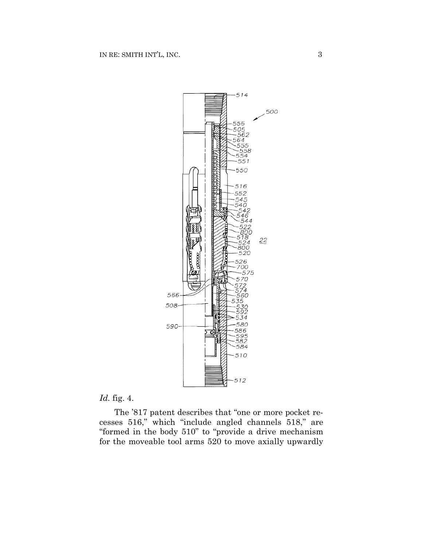

# *Id.* fig. 4.

The '817 patent describes that "one or more pocket recesses 516," which "include angled channels 518," are "formed in the body 510" to "provide a drive mechanism for the moveable tool arms 520 to move axially upwardly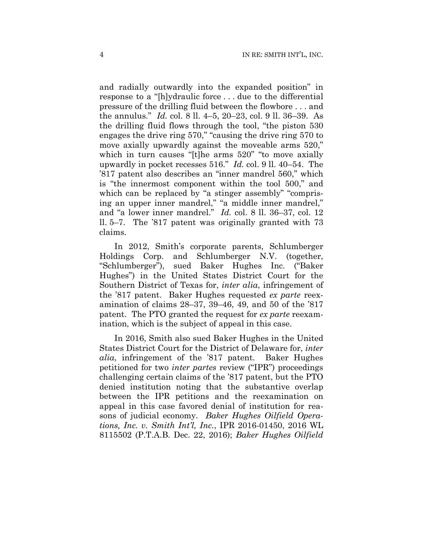and radially outwardly into the expanded position" in response to a "[h]ydraulic force . . . due to the differential pressure of the drilling fluid between the flowbore . . . and the annulus." *Id.* col. 8 ll. 4–5, 20–23, col. 9 ll. 36–39. As the drilling fluid flows through the tool, "the piston 530 engages the drive ring 570," "causing the drive ring 570 to move axially upwardly against the moveable arms 520," which in turn causes "[t]he arms 520" "to move axially upwardly in pocket recesses 516." *Id.* col. 9 ll. 40–54. The '817 patent also describes an "inner mandrel 560," which is "the innermost component within the tool 500," and which can be replaced by "a stinger assembly" "comprising an upper inner mandrel," "a middle inner mandrel," and "a lower inner mandrel." *Id.* col. 8 ll. 36–37, col. 12 ll. 5–7. The '817 patent was originally granted with 73 claims.

In 2012, Smith's corporate parents, Schlumberger Holdings Corp. and Schlumberger N.V. (together, "Schlumberger"), sued Baker Hughes Inc. ("Baker Hughes") in the United States District Court for the Southern District of Texas for, *inter alia*, infringement of the '817 patent. Baker Hughes requested *ex parte* reexamination of claims 28–37, 39–46, 49, and 50 of the '817 patent. The PTO granted the request for *ex parte* reexamination, which is the subject of appeal in this case.

In 2016, Smith also sued Baker Hughes in the United States District Court for the District of Delaware for, *inter alia*, infringement of the '817 patent. Baker Hughes petitioned for two *inter partes* review ("IPR") proceedings challenging certain claims of the '817 patent, but the PTO denied institution noting that the substantive overlap between the IPR petitions and the reexamination on appeal in this case favored denial of institution for reasons of judicial economy. *Baker Hughes Oilfield Operations, Inc. v. Smith Int'l, Inc.*, IPR 2016-01450, 2016 WL 8115502 (P.T.A.B. Dec. 22, 2016); *Baker Hughes Oilfield*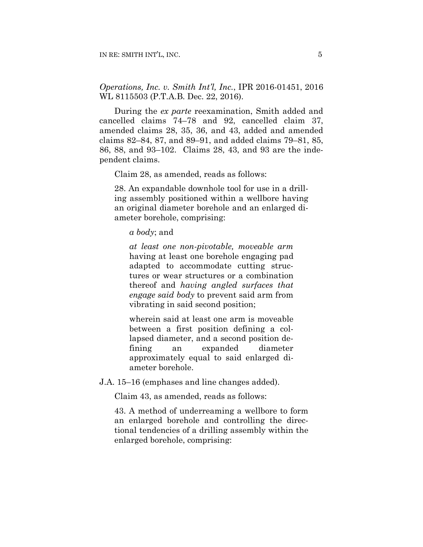*Operations, Inc. v. Smith Int'l, Inc.*, IPR 2016-01451, 2016 WL 8115503 (P.T.A.B. Dec. 22, 2016).

During the *ex parte* reexamination, Smith added and cancelled claims 74–78 and 92, cancelled claim 37, amended claims 28, 35, 36, and 43, added and amended claims 82–84, 87, and 89–91, and added claims 79–81, 85, 86, 88, and 93–102. Claims 28, 43, and 93 are the independent claims.

Claim 28, as amended, reads as follows:

28. An expandable downhole tool for use in a drilling assembly positioned within a wellbore having an original diameter borehole and an enlarged diameter borehole, comprising:

*a body*; and

*at least one non-pivotable, moveable arm* having at least one borehole engaging pad adapted to accommodate cutting structures or wear structures or a combination thereof and *having angled surfaces that engage said body* to prevent said arm from vibrating in said second position;

wherein said at least one arm is moveable between a first position defining a collapsed diameter, and a second position defining an expanded diameter approximately equal to said enlarged diameter borehole.

J.A. 15–16 (emphases and line changes added).

Claim 43, as amended, reads as follows:

43. A method of underreaming a wellbore to form an enlarged borehole and controlling the directional tendencies of a drilling assembly within the enlarged borehole, comprising: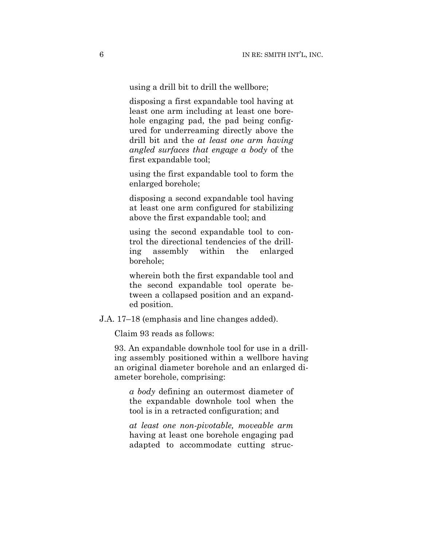using a drill bit to drill the wellbore;

disposing a first expandable tool having at least one arm including at least one borehole engaging pad, the pad being configured for underreaming directly above the drill bit and the *at least one arm having angled surfaces that engage a body* of the first expandable tool;

using the first expandable tool to form the enlarged borehole;

disposing a second expandable tool having at least one arm configured for stabilizing above the first expandable tool; and

using the second expandable tool to control the directional tendencies of the drilling assembly within the enlarged borehole;

wherein both the first expandable tool and the second expandable tool operate between a collapsed position and an expanded position.

J.A. 17–18 (emphasis and line changes added).

Claim 93 reads as follows:

93. An expandable downhole tool for use in a drilling assembly positioned within a wellbore having an original diameter borehole and an enlarged diameter borehole, comprising:

*a body* defining an outermost diameter of the expandable downhole tool when the tool is in a retracted configuration; and

*at least one non-pivotable, moveable arm* having at least one borehole engaging pad adapted to accommodate cutting struc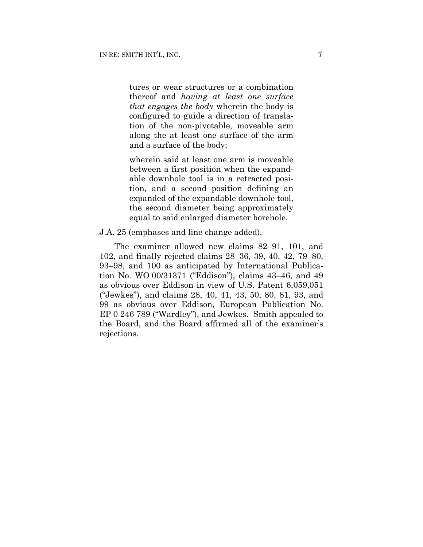tures or wear structures or a combination thereof and *having at least one surface that engages the body* wherein the body is configured to guide a direction of translation of the non-pivotable, moveable arm along the at least one surface of the arm and a surface of the body;

wherein said at least one arm is moveable between a first position when the expandable downhole tool is in a retracted position, and a second position defining an expanded of the expandable downhole tool, the second diameter being approximately equal to said enlarged diameter borehole.

### J.A. 25 (emphases and line change added).

The examiner allowed new claims 82–91, 101, and 102, and finally rejected claims 28–36, 39, 40, 42, 79–80, 93–98, and 100 as anticipated by International Publication No. WO 00/31371 ("Eddison"), claims 43–46, and 49 as obvious over Eddison in view of U.S. Patent 6,059,051 ("Jewkes"), and claims 28, 40, 41, 43, 50, 80, 81, 93, and 99 as obvious over Eddison, European Publication No. EP 0 246 789 ("Wardley"), and Jewkes. Smith appealed to the Board, and the Board affirmed all of the examiner's rejections.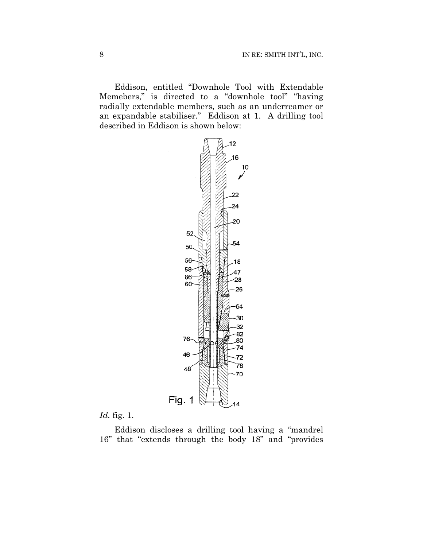Eddison, entitled "Downhole Tool with Extendable Memebers," is directed to a "downhole tool" "having radially extendable members, such as an underreamer or an expandable stabiliser." Eddison at 1. A drilling tool described in Eddison is shown below:



# *Id.* fig. 1.

Eddison discloses a drilling tool having a "mandrel 16" that "extends through the body 18" and "provides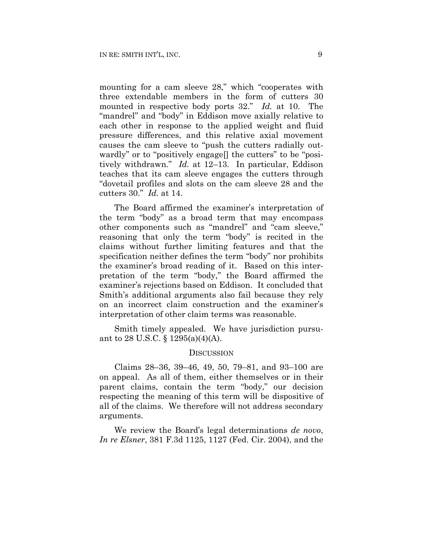mounting for a cam sleeve 28," which "cooperates with three extendable members in the form of cutters 30 mounted in respective body ports 32." *Id.* at 10. The "mandrel" and "body" in Eddison move axially relative to each other in response to the applied weight and fluid pressure differences, and this relative axial movement causes the cam sleeve to "push the cutters radially outwardly" or to "positively engage[] the cutters" to be "positively withdrawn." *Id.* at 12–13. In particular, Eddison teaches that its cam sleeve engages the cutters through "dovetail profiles and slots on the cam sleeve 28 and the cutters 30." *Id.* at 14.

The Board affirmed the examiner's interpretation of the term "body" as a broad term that may encompass other components such as "mandrel" and "cam sleeve," reasoning that only the term "body" is recited in the claims without further limiting features and that the specification neither defines the term "body" nor prohibits the examiner's broad reading of it. Based on this interpretation of the term "body," the Board affirmed the examiner's rejections based on Eddison. It concluded that Smith's additional arguments also fail because they rely on an incorrect claim construction and the examiner's interpretation of other claim terms was reasonable.

Smith timely appealed. We have jurisdiction pursuant to 28 U.S.C. § 1295(a)(4)(A).

#### DISCUSSION

Claims 28–36, 39–46, 49, 50, 79–81, and 93–100 are on appeal. As all of them, either themselves or in their parent claims, contain the term "body," our decision respecting the meaning of this term will be dispositive of all of the claims. We therefore will not address secondary arguments.

We review the Board's legal determinations *de novo*, *In re Elsner*, 381 F.3d 1125, 1127 (Fed. Cir. 2004), and the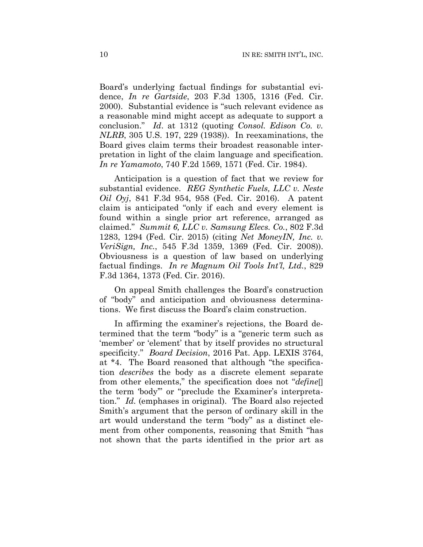Board's underlying factual findings for substantial evidence, *In re Gartside*, 203 F.3d 1305, 1316 (Fed. Cir. 2000). Substantial evidence is "such relevant evidence as a reasonable mind might accept as adequate to support a conclusion." *Id*. at 1312 (quoting *Consol. Edison Co. v. NLRB*, 305 U.S. 197, 229 (1938)). In reexaminations, the Board gives claim terms their broadest reasonable interpretation in light of the claim language and specification. *In re Yamamoto*, 740 F.2d 1569, 1571 (Fed. Cir. 1984).

Anticipation is a question of fact that we review for substantial evidence. *REG Synthetic Fuels, LLC v. Neste Oil Oyj*, 841 F.3d 954, 958 (Fed. Cir. 2016). A patent claim is anticipated "only if each and every element is found within a single prior art reference, arranged as claimed." *Summit 6, LLC v. Samsung Elecs. Co.*, 802 F.3d 1283, 1294 (Fed. Cir. 2015) (citing *Net MoneyIN, Inc. v. VeriSign, Inc.*, 545 F.3d 1359, 1369 (Fed. Cir. 2008)). Obviousness is a question of law based on underlying factual findings. *In re Magnum Oil Tools Int'l, Ltd.*, 829 F.3d 1364, 1373 (Fed. Cir. 2016).

On appeal Smith challenges the Board's construction of "body" and anticipation and obviousness determinations. We first discuss the Board's claim construction.

In affirming the examiner's rejections, the Board determined that the term "body" is a "generic term such as 'member' or 'element' that by itself provides no structural specificity." *Board Decision*, 2016 Pat. App. LEXIS 3764, at \*4. The Board reasoned that although "the specification *describes* the body as a discrete element separate from other elements," the specification does not "*define*[] the term 'body'" or "preclude the Examiner's interpretation." *Id.* (emphases in original). The Board also rejected Smith's argument that the person of ordinary skill in the art would understand the term "body" as a distinct element from other components, reasoning that Smith "has not shown that the parts identified in the prior art as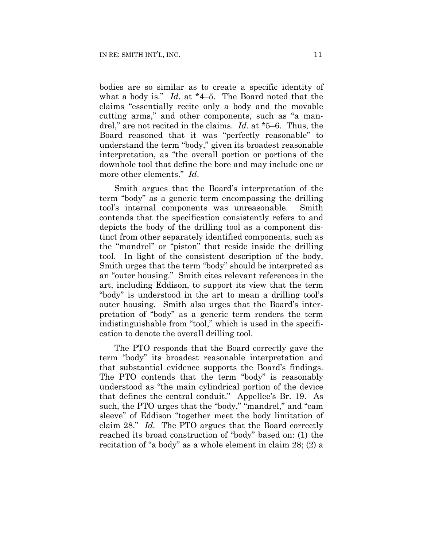bodies are so similar as to create a specific identity of what a body is." *Id.* at \*4–5. The Board noted that the claims "essentially recite only a body and the movable cutting arms," and other components, such as "a mandrel," are not recited in the claims. *Id.* at \*5–6. Thus, the Board reasoned that it was "perfectly reasonable" to understand the term "body," given its broadest reasonable interpretation, as "the overall portion or portions of the downhole tool that define the bore and may include one or more other elements." *Id*.

Smith argues that the Board's interpretation of the term "body" as a generic term encompassing the drilling tool's internal components was unreasonable. Smith contends that the specification consistently refers to and depicts the body of the drilling tool as a component distinct from other separately identified components, such as the "mandrel" or "piston" that reside inside the drilling tool. In light of the consistent description of the body, Smith urges that the term "body" should be interpreted as an "outer housing." Smith cites relevant references in the art, including Eddison, to support its view that the term "body" is understood in the art to mean a drilling tool's outer housing. Smith also urges that the Board's interpretation of "body" as a generic term renders the term indistinguishable from "tool," which is used in the specification to denote the overall drilling tool.

The PTO responds that the Board correctly gave the term "body" its broadest reasonable interpretation and that substantial evidence supports the Board's findings. The PTO contends that the term "body" is reasonably understood as "the main cylindrical portion of the device that defines the central conduit." Appellee's Br. 19. As such, the PTO urges that the "body," "mandrel," and "cam sleeve" of Eddison "together meet the body limitation of claim 28." *Id.* The PTO argues that the Board correctly reached its broad construction of "body" based on: (1) the recitation of "a body" as a whole element in claim 28; (2) a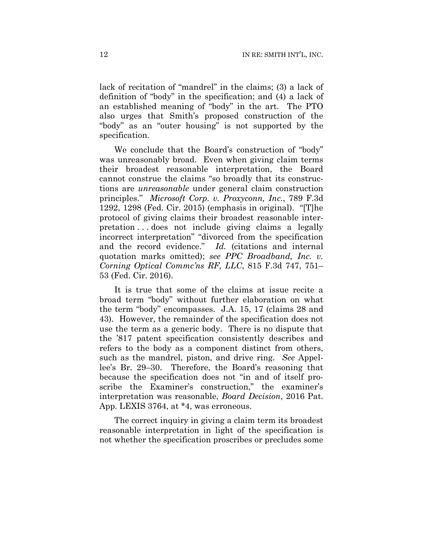lack of recitation of "mandrel" in the claims; (3) a lack of definition of "body" in the specification; and (4) a lack of an established meaning of "body" in the art. The PTO also urges that Smith's proposed construction of the "body" as an "outer housing" is not supported by the specification.

We conclude that the Board's construction of "body" was unreasonably broad. Even when giving claim terms their broadest reasonable interpretation, the Board cannot construe the claims "so broadly that its constructions are *unreasonable* under general claim construction principles." *Microsoft Corp. v. Proxyconn, Inc.*, 789 F.3d 1292, 1298 (Fed. Cir. 2015) (emphasis in original). "[T]he protocol of giving claims their broadest reasonable interpretation . . . does not include giving claims a legally incorrect interpretation" "divorced from the specification and the record evidence." *Id.* (citations and internal quotation marks omitted); *see PPC Broadband, Inc. v. Corning Optical Commc'ns RF, LLC*, 815 F.3d 747, 751– 53 (Fed. Cir. 2016).

It is true that some of the claims at issue recite a broad term "body" without further elaboration on what the term "body" encompasses. J.A. 15, 17 (claims 28 and 43). However, the remainder of the specification does not use the term as a generic body. There is no dispute that the '817 patent specification consistently describes and refers to the body as a component distinct from others, such as the mandrel, piston, and drive ring. *See* Appellee's Br. 29–30. Therefore, the Board's reasoning that because the specification does not "in and of itself proscribe the Examiner's construction," the examiner's interpretation was reasonable, *Board Decision*, 2016 Pat. App. LEXIS 3764, at \*4, was erroneous.

The correct inquiry in giving a claim term its broadest reasonable interpretation in light of the specification is not whether the specification proscribes or precludes some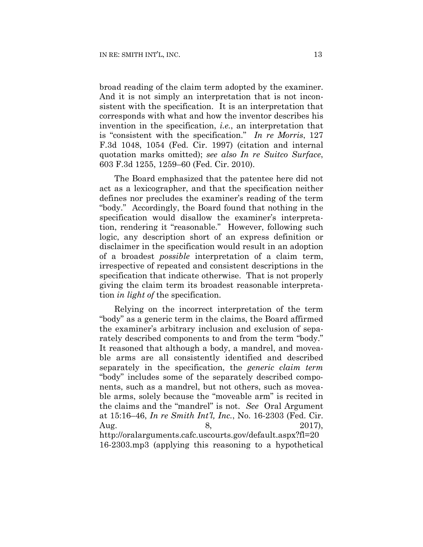broad reading of the claim term adopted by the examiner. And it is not simply an interpretation that is not inconsistent with the specification. It is an interpretation that corresponds with what and how the inventor describes his invention in the specification, *i.e.*, an interpretation that is "consistent with the specification." *In re Morris*, 127 F.3d 1048, 1054 (Fed. Cir. 1997) (citation and internal quotation marks omitted); *see also In re Suitco Surface*, 603 F.3d 1255, 1259–60 (Fed. Cir. 2010).

The Board emphasized that the patentee here did not act as a lexicographer, and that the specification neither defines nor precludes the examiner's reading of the term "body." Accordingly, the Board found that nothing in the specification would disallow the examiner's interpretation, rendering it "reasonable." However, following such logic, any description short of an express definition or disclaimer in the specification would result in an adoption of a broadest *possible* interpretation of a claim term, irrespective of repeated and consistent descriptions in the specification that indicate otherwise. That is not properly giving the claim term its broadest reasonable interpretation *in light of* the specification.

Relying on the incorrect interpretation of the term "body" as a generic term in the claims, the Board affirmed the examiner's arbitrary inclusion and exclusion of separately described components to and from the term "body." It reasoned that although a body, a mandrel, and moveable arms are all consistently identified and described separately in the specification, the *generic claim term* "body" includes some of the separately described components, such as a mandrel, but not others, such as moveable arms, solely because the "moveable arm" is recited in the claims and the "mandrel" is not. *See* Oral Argument at 15:16–46, *In re Smith Int'l, Inc.*, No. 16-2303 (Fed. Cir. Aug.  $8,$  2017), http://oralarguments.cafc.uscourts.gov/default.aspx?fl=20 16-2303.mp3 (applying this reasoning to a hypothetical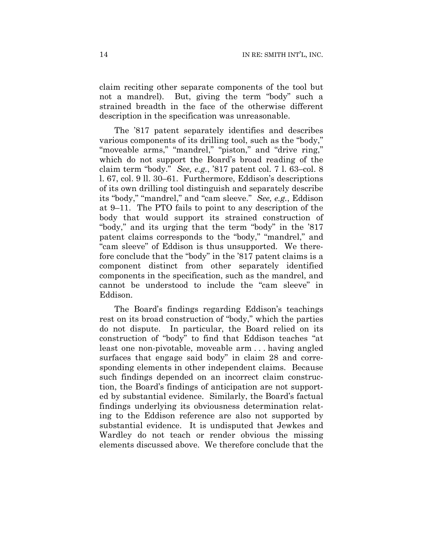claim reciting other separate components of the tool but not a mandrel). But, giving the term "body" such a strained breadth in the face of the otherwise different description in the specification was unreasonable.

The '817 patent separately identifies and describes various components of its drilling tool, such as the "body," "moveable arms," "mandrel," "piston," and "drive ring," which do not support the Board's broad reading of the claim term "body." *See, e.g.*, '817 patent col. 7 l. 63–col. 8 l. 67, col. 9 ll. 30–61. Furthermore, Eddison's descriptions of its own drilling tool distinguish and separately describe its "body," "mandrel," and "cam sleeve." *See, e.g.*, Eddison at 9–11. The PTO fails to point to any description of the body that would support its strained construction of "body," and its urging that the term "body" in the '817 patent claims corresponds to the "body," "mandrel," and "cam sleeve" of Eddison is thus unsupported. We therefore conclude that the "body" in the '817 patent claims is a component distinct from other separately identified components in the specification, such as the mandrel, and cannot be understood to include the "cam sleeve" in Eddison.

The Board's findings regarding Eddison's teachings rest on its broad construction of "body," which the parties do not dispute. In particular, the Board relied on its construction of "body" to find that Eddison teaches "at least one non-pivotable, moveable arm . . . having angled surfaces that engage said body" in claim 28 and corresponding elements in other independent claims. Because such findings depended on an incorrect claim construction, the Board's findings of anticipation are not supported by substantial evidence. Similarly, the Board's factual findings underlying its obviousness determination relating to the Eddison reference are also not supported by substantial evidence. It is undisputed that Jewkes and Wardley do not teach or render obvious the missing elements discussed above. We therefore conclude that the